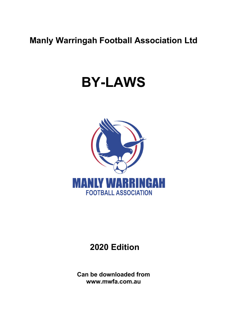# **Manly Warringah Football Association Ltd**

# **BY-LAWS**



# **2020 Edition**

**Can be downloaded from www.mwfa.com.au**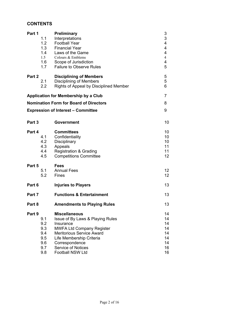# **CONTENTS**

| Part 1                                        | 1.1<br>1.2<br>1.3<br>1.4<br>1.5<br>1.6<br>1.7        | <b>Preliminary</b><br>Interpretations<br><b>Football Year</b><br><b>Financial Year</b><br>Laws of the Game<br>Colours & Emblems<br>Scope of Jurisdiction<br><b>Failure to Observe Rules</b>                                                  | 3<br>$\sqrt{3}$<br>4<br>4<br>4<br>$\overline{4}$<br>4<br>5 |  |  |
|-----------------------------------------------|------------------------------------------------------|----------------------------------------------------------------------------------------------------------------------------------------------------------------------------------------------------------------------------------------------|------------------------------------------------------------|--|--|
| Part 2                                        | 2.1<br>2.2                                           | <b>Disciplining of Members</b><br><b>Disciplining of Members</b><br><b>Rights of Appeal by Disciplined Member</b>                                                                                                                            | 5<br>5<br>6                                                |  |  |
|                                               |                                                      | <b>Application for Membership by a Club</b>                                                                                                                                                                                                  | $\overline{7}$                                             |  |  |
| <b>Nomination Form for Board of Directors</b> |                                                      |                                                                                                                                                                                                                                              |                                                            |  |  |
| <b>Expression of Interest - Committee</b>     |                                                      |                                                                                                                                                                                                                                              |                                                            |  |  |
| Part 3                                        |                                                      | Government                                                                                                                                                                                                                                   | 10                                                         |  |  |
| Part 4                                        | 4.1<br>4.2<br>4.3<br>4.4<br>4.5                      | <b>Committees</b><br>Confidentiality<br>Disciplinary<br>Appeals<br><b>Registration &amp; Grading</b><br><b>Competitions Committee</b>                                                                                                        | 10<br>10<br>10<br>11<br>11<br>12                           |  |  |
| Part 5                                        | 5.1<br>5.2                                           | <b>Fees</b><br><b>Annual Fees</b><br>Fines                                                                                                                                                                                                   | 12<br>12                                                   |  |  |
| Part 6                                        |                                                      | <b>Injuries to Players</b>                                                                                                                                                                                                                   | 13                                                         |  |  |
| Part 7                                        |                                                      | <b>Functions &amp; Entertainment</b>                                                                                                                                                                                                         | 13                                                         |  |  |
| Part 8                                        |                                                      | <b>Amendments to Playing Rules</b>                                                                                                                                                                                                           | 13                                                         |  |  |
| Part 9                                        | 9.1<br>9.2<br>9.3<br>9.4<br>9.5<br>9.6<br>9.7<br>9.8 | <b>Miscellaneous</b><br>Issue of By Laws & Playing Rules<br>Insurance<br><b>MWFA Ltd Company Register</b><br><b>Meritorious Service Award</b><br>Life Membership Criteria<br>Correspondence<br>Service of Notices<br><b>Football NSW Ltd</b> | 14<br>14<br>14<br>14<br>14<br>14<br>14<br>16<br>16         |  |  |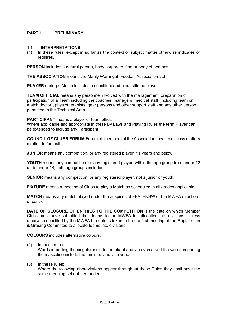# **PART 1 PRELIMINARY**

## **1.1 INTERPRETATIONS**

(1) In these rules, except in so far as the context or subject matter otherwise indicates or requires,

**PERSON** includes a natural person, body corporate, firm or body of persons.

**THE ASSOCIATION** means the Manly Warringah Football Association Ltd

**PLAYER** during a Match includes a substitute and a substituted player.

**TEAM OFFICIAL** means any personnel involved with the management, preparation or participation of a Team including the coaches, managers, medical staff (including team or match doctor), physiotherapists, gear persons and other support staff and any other person permitted in the Technical Area.

#### **PARTICIPANT** means a player or team official.

Where applicable and appropriate in these By Laws and Playing Rules the term Player can be extended to include any Participant.

**COUNCIL OF CLUBS FORUM** Forum of members of the Association meet to discuss matters relating to football

**JUNIOR** means any competition, or any registered player, 11 years and below

**YOUTH** means any competition, or any registered player, within the age group from under 12 up to under 18, both age groups included.

**SENIOR** means any competition, or any registered player, not a junior or youth.

**FIXTURE** means a meeting of Clubs to play a Match as scheduled in all grades applicable.

**MATCH** means any match played under the auspices of FFA, FNSW or the MWFA direction or control.

**DATE OF CLOSURE OF ENTRIES TO THE COMPETITION** is the date on which Member Clubs must have submitted their teams to the MWFA for allocation into divisions. Unless otherwise specified by the MWFA the date is taken to be the first meeting of the Registration & Grading Committee to allocate teams into divisions.

**COLOURS** includes alternative colours.

(2) In these rules:

Words importing the singular include the plural and vice versa and the words importing the masculine include the feminine and vice versa.

(3) In these rules:

Where the following abbreviations appear throughout these Rules they shall have the same meaning set out hereunder:-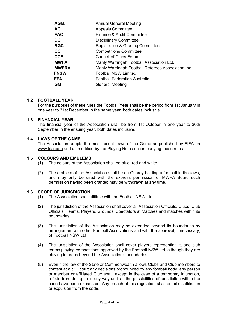| AGM.         | <b>Annual General Meeting</b>                     |
|--------------|---------------------------------------------------|
| АC           | <b>Appeals Committee</b>                          |
| <b>FAC</b>   | Finance & Audit Committee                         |
| DC           | <b>Disciplinary Committee</b>                     |
| <b>RGC</b>   | <b>Registration &amp; Grading Committee</b>       |
| СC           | <b>Competitions Committee</b>                     |
| <b>CCF</b>   | <b>Council of Clubs Forum</b>                     |
| <b>MWFA</b>  | Manly Warringah Football Association Ltd.         |
| <b>MWFRA</b> | Manly Warringah Football Referees Association Inc |
| <b>FNSW</b>  | <b>Football NSW Limited</b>                       |
| FFA          | <b>Football Federation Australia</b>              |
| <b>GM</b>    | <b>General Meeting</b>                            |
|              |                                                   |

# **1.2 FOOTBALL YEAR**

For the purposes of these rules the Football Year shall be the period from 1st January in one year to 31st December in the same year, both dates inclusive.

# **1.3 FINANCIAL YEAR**

The financial year of the Association shall be from 1st October in one year to 30th September in the ensuing year, both dates inclusive.

# **1.4 LAWS OF THE GAME**

The Association adopts the most recent Laws of the Game as published by FIFA on www.fifa.com and as modified by the Playing Rules accompanying these rules.

# **1.5 COLOURS AND EMBLEMS**

- (1) The colours of the Association shall be blue, red and white.
- (2) The emblem of the Association shall be an Osprey holding a football in its claws, and may only be used with the express permission of MWFA Board such permission having been granted may be withdrawn at any time.

# **1.6 SCOPE OF JURISDICTION**

- (1) The Association shall affiliate with the Football NSW Ltd.
- (2) The jurisdiction of the Association shall cover all Association Officials, Clubs, Club Officials, Teams, Players, Grounds, Spectators at Matches and matches within its boundaries.
- (3) The jurisdiction of the Association may be extended beyond its boundaries by arrangement with other Football Associations and with the approval, if necessary, of Football NSW Ltd.
- (4) The jurisdiction of the Association shall cover players representing it, and club teams playing competitions approved by the Football NSW Ltd, although they are playing in areas beyond the Association's boundaries.
- (5) Even if the law of the State or Commonwealth allows Clubs and Club members to contest at a civil court any decisions pronounced by any football body, any person or member or affiliated Club shall, except in the case of a temporary injunction, refrain from doing so in any way until all the possibilities of jurisdiction within the code have been exhausted. Any breach of this regulation shall entail disaffiliation or expulsion from the code.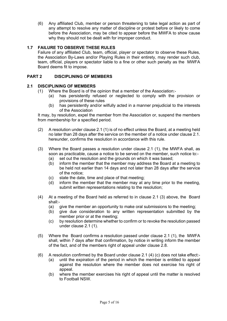(6) Any affiliated Club, member or person threatening to take legal action as part of any attempt to resolve any matter of discipline or protest before or likely to come before the Association, may be cited to appear before the MWFA to show cause why they should not be dealt with for improper conduct.

# **1.7 FAILURE TO OBSERVE THESE RULES**

Failure of any affiliated Club, team, official, player or spectator to observe these Rules, the Association By-Laws and/or Playing Rules in their entirety, may render such club, team, official, players or spectator liable to a fine or other such penalty as the MWFA Board deems fit to impose.

# **PART 2 DISCIPLINING OF MEMBERS**

# **2.1 DISCIPLINING OF MEMBERS**

- (1) Where the Board is of the opinion that a member of the Association:-
	- (a) has persistently refused or neglected to comply with the provision or provisions of these rules
	- (b) has persistently and/or wilfully acted in a manner prejudicial to the interests of the Association

It may, by resolution, expel the member from the Association or, suspend the members from membership for a specified period.

- (2) A resolution under clause 2.1 (1) is of no effect unless the Board, at a meeting held no later than 28 days after the service on the member of a notice under clause 2.1. hereunder, confirms the resolution in accordance with this rule.
- (3) Where the Board passes a resolution under clause 2.1 (1), the MWFA shall, as soon as practicable, cause a notice to be served on the member, such notice to:-
	- (a) set out the resolution and the grounds on which it was based;
	- (b) inform the member that the member may address the Board at a meeting to be held not earlier than 14 days and not later than 28 days after the service of the notice;
	- (c) state the date, time and place of that meeting;
	- (d) inform the member that the member may at any time prior to the meeting, submit written representations relating to the resolution;
- (4) At a meeting of the Board held as referred to in clause 2.1 (3) above, the Board shall:-
	- (a) give the member an opportunity to make oral submissions to the meeting;
	- (b) give due consideration to any written representation submitted by the member prior or at the meeting;
	- (c) by resolution determine whether to confirm or to revoke the resolution passed under clause 2.1 (1).
- (5) Where the Board confirms a resolution passed under clause 2.1 (1), the MWFA shall, within 7 days after that confirmation, by notice in writing inform the member of the fact, and of the members right of appeal under clause 2.8.
- (6) A resolution confirmed by the Board under clause 2.1 (4) (c) does not take effect:-
	- (a) until the expiration of the period in which the member is entitled to appeal against the resolution where the member does not exercise his right of appeal.
	- (b) where the member exercises his right of appeal until the matter is resolved to Football NSW.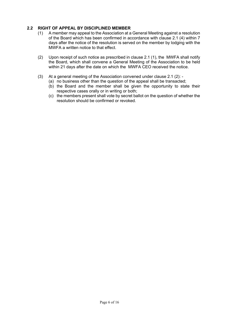# **2.2 RIGHT OF APPEAL BY DISCIPLINED MEMBER**

- (1) A member may appeal to the Association at a General Meeting against a resolution of the Board which has been confirmed in accordance with clause 2.1 (4) within 7 days after the notice of the resolution is served on the member by lodging with the MWFA a written notice to that effect.
- (2) Upon receipt of such notice as prescribed in clause 2.1 (1), the MWFA shall notify the Board, which shall convene a General Meeting of the Association to be held within 21 days after the date on which the MWFA CEO received the notice.
- (3) At a general meeting of the Association convened under clause 2.1 (2):
	- (a) no business other than the question of the appeal shall be transacted;
	- (b) the Board and the member shall be given the opportunity to state their respective cases orally or in writing or both;
	- (c) the members present shall vote by secret ballot on the question of whether the resolution should be confirmed or revoked.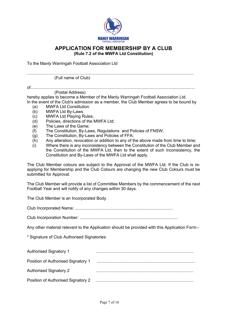

# **APPLICATION FOR MEMBERSHIP BY A CLUB (Rule 7.2 of the MWFA Ltd Constitution)**

To the Manly Warringah Football Association Ltd

of............................................................................................................................................. (Postal Address)

hereby applies to become a Member of the Manly Warringah Football Association Ltd. In the event of the Club's admission as a member, the Club Member agrees to be bound by

- (a) MWFA Ltd Constitution
- (b) MWFA Ltd By-Laws
- (c) MWFA Ltd Playing Rules;
- (d) Policies, directions of the MWFA Ltd;
- (e) The Laws of the Game;
- (f) The Constitution, By-Laws, Regulations and Policies of FNSW;
- (g) The Constitution, By-Laws and Policies of FFA;
- (h) Any alteration, revocation or addition to any of the above made from time to time;
- (i) Where there is any inconsistency between the Constitution of the Club Member and the Constitution of the MWFA Ltd, then to the extent of such inconsistency, the Constitution and By-Laws of the MWFA Ltd shall apply.

The Club Member colours are subject to the Approval of the MWFA Ltd. If the Club is reapplying for Membership and the Club Colours are changing the new Club Colours must be submitted for Approval.

The Club Member will provide a list of Committee Members by the commencement of the next Football Year and will notify of any changes within 30 days.

The Club Member is an Incorporated Body.

Club Incorporated Name: ....................................................................................

Club Incorporation Number: ....................................................................................

Any other material relevant to the Application should be provided with this Application Form:-

\* Signature of Club Authorised Signatories:

| <b>Authorised Signatory 1</b>      |  |
|------------------------------------|--|
| Position of Authorised Signatory 1 |  |
| <b>Authorised Signatory 2</b>      |  |
| Position of Authorised Signatory 2 |  |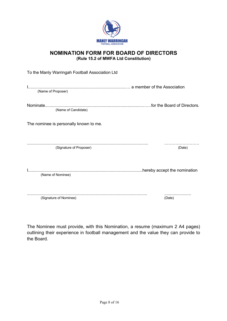

# **NOMINATION FORM FOR BOARD OF DIRECTORS (Rule 15.2 of MWFA Ltd Constitution)**

| To the Manly Warringah Football Association Ltd |        |
|-------------------------------------------------|--------|
| (Name of Proposer)                              |        |
| (Name of Candidate)                             |        |
| The nominee is personally known to me.          |        |
| (Signature of Proposer)                         | (Date) |
| (Name of Nominee)                               |        |
| (Signature of Nominee)                          | (Date) |

The Nominee must provide, with this Nomination, a resume (maximum 2 A4 pages) outlining their experience in football management and the value they can provide to the Board.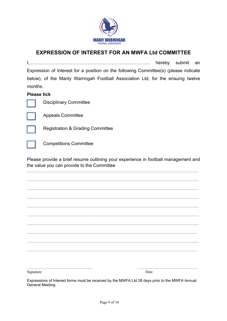

# **EXPRESSION OF INTEREST FOR AN MWFA Ltd COMMITTEE**

I,……………………………………………………………………. hereby submit an Expression of Interest for a position on the following Committee(s) (please indicate below), of the Manly Warringah Football Association Ltd, for the ensuing twelve months.

# **Please tick**



Disciplinary Committee



Appeals Committee



Registration & Grading Committee

Competitions Committee

Please provide a brief resume outlining your experience in football management and the value you can provide to the Committee

. The contract of the contract of the contract of the contract of the contract of the contract of the contract of the contract of the contract of the contract of the contract of the contract of the contract of the contrac . The contract of the contract of the contract of the contract of the contract of the contract of the contract of the contract of the contract of the contract of the contract of the contract of the contract of the contrac . The contract of the contract of the contract of the contract of the contract of the contract of the contract of the contract of the contract of the contract of the contract of the contract of the contract of the contrac ……………………………………………………………………………………………………………………… ……………………………………………………………………………………………………………………… ……………………………………………………………………………………………………………………… ……………………………………………………………………………………………………………………… ……………………………………………………………………………………………………..……………… ……………………………………………………………………………………………………………………… …………………..…………………………………………………………………………………………………

…………………………………………… ………………………………………… Signature Date

Expressions of Interest forms must be received by the MWFA Ltd 28 days prior to the MWFA Annual General Meeting.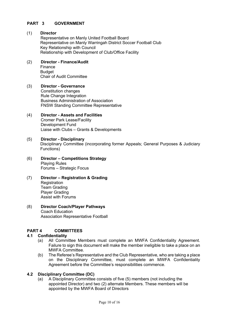# **PART 3 GOVERNMENT**

# (1) **Director**

Representative on Manly United Football Board Representative on Manly Warringah District Soccer Football Club Key Relationship with Council Relationship with Development of Club/Office Facility

#### (2) **Director - Finance/Audit** Finance Budget Chair of Audit Committee

(3) **Director - Governance** Constitution changes Rule Change Integration Business Administration of Association FNSW Standing Committee Representative

Liaise with Clubs – Grants & Developments

### (4) **Director - Assets and Facilities** Cromer Park Lease/Facility Development Fund

- (5) **Director - Disciplinary** Disciplinary Committee (incorporating former Appeals; General Purposes & Judiciary Functions)
- (6) **Director – Competitions Strategy** Playing Rules Forums – Strategic Focus
- (7) **Director – Registration & Grading Registration** Team Grading Player Grading Assist with Forums

# (8) **Director Coach/Player Pathways** Coach Education Association Representative Football

# **PART 4 COMMITTEES**

# **4.1 Confidentiality**

- (a) All Committee Members must complete an MWFA Confidentiality Agreement. Failure to sign this document will make the member ineligible to take a place on an MWFA Committee.
- (b) The Referee's Representative and the Club Representative, who are taking a place on the Disciplinary Committee, must complete an MWFA Confidentiality Agreement before the Committee's responsibilities commence.

# **4.2 Disciplinary Committee (DC)**

(a) A Disciplinary Committee consists of five (5) members (not including the appointed Director) and two (2) alternate Members. These members will be appointed by the MWFA Board of Directors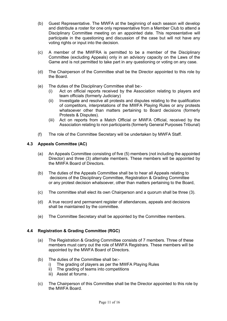- (b) Guest Representative. The MWFA at the beginning of each season will develop and distribute a roster for one only representative from a Member Club to attend a Disciplinary Committee meeting on an appointed date. This representative will participate in the questioning and discussion of the case but will not have any voting rights or input into the decision.
- (c) A member of the MWFRA is permitted to be a member of the Disciplinary Committee (excluding Appeals) only in an advisory capacity on the Laws of the Game and is not permitted to take part in any questioning or voting on any case.
- (d) The Chairperson of the Committee shall be the Director appointed to this role by the Board.
- (e) The duties of the Disciplinary Committee shall be:-
	- (i) Act on official reports received by the Association relating to players and team officials (formerly Judiciary)
	- (ii) Investigate and resolve all protests and disputes relating to the qualification of competitors, interpretations of the MWFA Playing Rules or any protests whatsoever other than matters pertaining to Board decisions (formerly Protests & Disputes).
	- (iii) Act on reports from a Match Official or MWFA Official, received by the Association relating to non participants (formerly General Purposes Tribunal)
- (f) The role of the Committee Secretary will be undertaken by MWFA Staff.

# **4.3 Appeals Committee (AC)**

- (a) An Appeals Committee consisting of five (5) members (not including the appointed Director) and three (3) alternate members. These members will be appointed by the MWFA Board of Directors.
- (b) The duties of the Appeals Committee shall be to hear all Appeals relating to decisions of the Disciplinary Committee, Registration & Grading Committee or any protest decision whatsoever, other than matters pertaining to the Board,
- (c) The committee shall elect its own Chairperson and a quorum shall be three (3).
- (d) A true record and permanent register of attendances, appeals and decisions shall be maintained by the committee.
- (e) The Committee Secretary shall be appointed by the Committee members.

# **4.4 Registration & Grading Committee (RGC)**

- (a) The Registration & Grading Committee consists of 7 members. Three of these members must carry out the role of MWFA Registrars. These members will be appointed by the MWFA Board of Directors.
- (b) The duties of the Committee shall be:
	- i) The grading of players as per the MWFA Playing Rules
	- ii) The grading of teams into competitions
	- iii) Assist at forums .
- (c) The Chairperson of this Committee shall be the Director appointed to this role by the MWFA Board.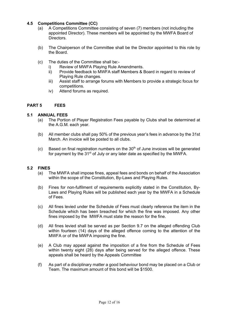# **4.5 Competitions Committee (CC)**

- (a) A Competitions Committee consisting of seven (7) members (not including the appointed Director). These members will be appointed by the MWFA Board of Directors.
- (b) The Chairperson of the Committee shall be the Director appointed to this role by the Board.
- (c) The duties of the Committee shall be:
	- i) Review of MWFA Playing Rule Amendments.
	- ii) Provide feedback to MWFA staff Members & Board in regard to review of Playing Rule changes.
	- iii) Assist staff to arrange forums with Members to provide a strategic focus for competitions.
	- iv) Attend forums as required.

## **PART 5 FEES**

## **5.1 ANNUAL FEES**

- (a) The Portion of Player Registration Fees payable by Clubs shall be determined at the A.G.M. each year.
- (b) All member clubs shall pay 50% of the previous year's fees in advance by the 31st March. An invoice will be posted to all clubs.
- $(c)$  Based on final registration numbers on the 30<sup>th</sup> of June invoices will be generated for payment by the 31<sup>st</sup> of July or any later date as specified by the MWFA.

#### **5.2 FINES**

- (a) The MWFA shall impose fines, appeal fees and bonds on behalf of the Association within the scope of the Constitution, By-Laws and Playing Rules.
- (b) Fines for non-fulfilment of requirements explicitly stated in the Constitution, By-Laws and Playing Rules will be published each year by the MWFA in a Schedule of Fees.
- (c) All fines levied under the Schedule of Fees must clearly reference the item in the Schedule which has been breached for which the fine was imposed. Any other fines imposed by the MWFA must state the reason for the fine.
- (d) All fines levied shall be served as per Section 9.7 on the alleged offending Club within fourteen (14) days of the alleged offence coming to the attention of the MWFA or of the MWFA imposing the fine.
- (e) A Club may appeal against the imposition of a fine from the Schedule of Fees within twenty eight (28) days after being served for the alleged offence. These appeals shall be heard by the Appeals Committee
- (f) As part of a disciplinary matter a good behaviour bond may be placed on a Club or Team. The maximum amount of this bond will be \$1500.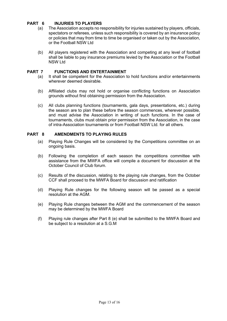# **PART 6 INJURIES TO PLAYERS**

- (a) The Association accepts no responsibility for injuries sustained by players, officials, spectators or referees, unless such responsibility is covered by an insurance policy or policies that may from time to time be organised or taken out by the Association, or the Football NSW Ltd
- (b) All players registered with the Association and competing at any level of football shall be liable to pay insurance premiums levied by the Association or the Football NSW Ltd

# **PART 7 FUNCTIONS AND ENTERTAINMENT**

- (a) It shall be competent for the Association to hold functions and/or entertainments wherever deemed desirable.
- (b) Affiliated clubs may not hold or organise conflicting functions on Association grounds without first obtaining permission from the Association.
- (c) All clubs planning functions (tournaments, gala days, presentations, etc.) during the season are to plan these before the season commences, wherever possible, and must advise the Association in writing of such functions. In the case of tournaments, clubs must obtain prior permission from the Association, in the case of intra-Association tournaments or from Football NSW Ltd. for all others.

# **PART 8 AMENDMENTS TO PLAYING RULES**

- (a) Playing Rule Changes will be considered by the Competitions committee on an ongoing basis.
- (b) Following the completion of each season the competitions committee with assistance from the MWFA office will compile a document for discussion at the October Council of Club forum.
- (c) Results of the discussion, relating to the playing rule changes, from the October CCF shall proceed to the MWFA Board for discussion and ratification
- (d) Playing Rule changes for the following season will be passed as a special resolution at the AGM.
- (e) Playing Rule changes between the AGM and the commencement of the season may be determined by the MWFA Board
- (f) Playing rule changes after Part 8 (e) shall be submitted to the MWFA Board and be subject to a resolution at a S.G.M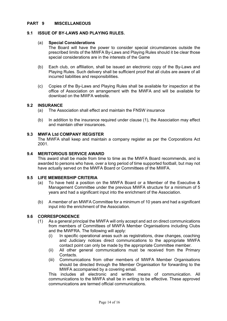# **PART 9 MISCELLANEOUS**

# **9.1 ISSUE OF BY-LAWS AND PLAYING RULES.**

#### (a) **Special Considerations**

The Board will have the power to consider special circumstances outside the prescribed limits of the MWFA By-Laws and Playing Rules should it be clear those special considerations are in the interests of the Game

- (b) Each club, on affiliation, shall be issued an electronic copy of the By-Laws and Playing Rules. Such delivery shall be sufficient proof that all clubs are aware of all incurred liabilities and responsibilities.
- (c) Copies of the By-Laws and Playing Rules shall be available for inspection at the office of Association on arrangement with the MWFA and will be available for download on the MWFA website.

## **9.2 INSURANCE**

- (a) The Association shall effect and maintain the FNSW insurance
- (b) In addition to the insurance required under clause (1), the Association may effect and maintain other insurances.

## **9.3 MWFA Ltd COMPANY REGISTER**

The MWFA shall keep and maintain a company register as per the Corporations Act 2001.

# **9.4 MERITORIOUS SERVICE AWARD**

This award shall be made from time to time as the MWFA Board recommends, and is awarded to persons who have, over a long period of time supported football, but may not have actually served on the MWFA Board or Committees of the MWFA.

## **9.5 LIFE MEMBERSHIP CRITERIA**

- (a) To have held a position on the MWFA Board or a Member of the Executive & Management Committee under the previous MWFA structure for a minimum of 5 years and had a significant input into the enrichment of the Association.
- (b) A member of an MWFA Committee for a minimum of 10 years and had a significant input into the enrichment of the Association.

### **9.6 CORRESPONDENCE**

- (1) As a general principal the MWFA will only accept and act on direct communications from members of Committees of MWFA Member Organisations including Clubs and the MWFRA. The following will apply:
	- (i) In specific operational areas such as registrations, draw changes, coaching and Judiciary notices direct communications to the appropriate MWFA contact point can only be made by the appropriate Committee member.
	- (ii) All other general communications must be received from the Primary Contacts.
	- (iii) Communications from other members of MWFA Member Organisations should be directed through the Member Organisation for forwarding to the MWFA accompanied by a covering email.

This includes all electronic and written means of communication. All communications to the MWFA shall be in writing to be effective. These approved communications are termed official communications.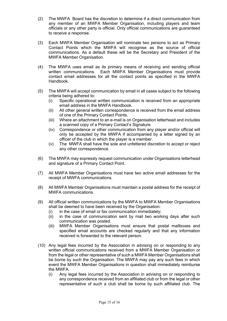- (2) The MWFA Board has the discretion to determine if a direct communication from any member of an MWFA Member Organisation, including players and team officials or any other party is official. Only official communications are guaranteed to receive a response.
- (3) Each MWFA Member Organisation will nominate two persons to act as Primary Contact Points which the MWFA will recognise as the source of official communications. As a default these will be the Secretary and President of the MWFA Member Organisation.
- (4) The MWFA uses email as its primary means of receiving and sending official written communications. Each MWFA Member Organisations must provide contact email addresses for all the contact points as specified in the MWFA Handbook.
- (5) The MWFA will accept communication by email in all cases subject to the following criteria being adhered to:
	- (i) Specific operational written communication is received from an appropriate email address in the MWFA Handbook.
	- (ii) All other general written correspondence is received from the email address of one of the Primary Contact Points.
	- (iii) Where an attachment to an e-mail is on Organisation letterhead and includes a scanned copy of a Primary Contact's Signature.
	- (iv) Correspondence or other communication from any player and/or official will only be accepted by the MWFA if accompanied by a letter signed by an officer of the club in which the player is a member.
	- (v) The MWFA shall have the sole and unfettered discretion to accept or reject any other correspondence.
- (6) The MWFA may expressly request communication under Organisations letterhead and signature of a Primary Contact Point.
- (7) All MWFA Member Organisations must have two active email addresses for the receipt of MWFA communications.
- (8) All MWFA Member Organisations must maintain a postal address for the receipt of MWFA communications.
- (9) All official written communications by the MWFA to MWFA Member Organisations shall be deemed to have been received by the Organisation:
	- (i) in the case of email or fax communication immediately;
	- (ii) in the case of communication sent by mail two working days after such communication was posted.
	- (iii) MWFA Member Organisations must ensure that postal mailboxes and specified email accounts are checked regularly and that any information received is forwarded to the relevant person.
- (10) Any legal fees incurred by the Association in advising on or responding to any written official communications received from a MWFA Member Organisation or from the legal or other representative of such a MWFA Member Organisations shall be borne by such the Organisation. The MWFA may pay any such fees in which event the MWFA Member Organisations in question shall immediately reimburse the MWFA.
	- (i) Any legal fees incurred by the Association in advising on or responding to any correspondence received from an affiliated club or from the legal or other representative of such a club shall be borne by such affiliated club. The